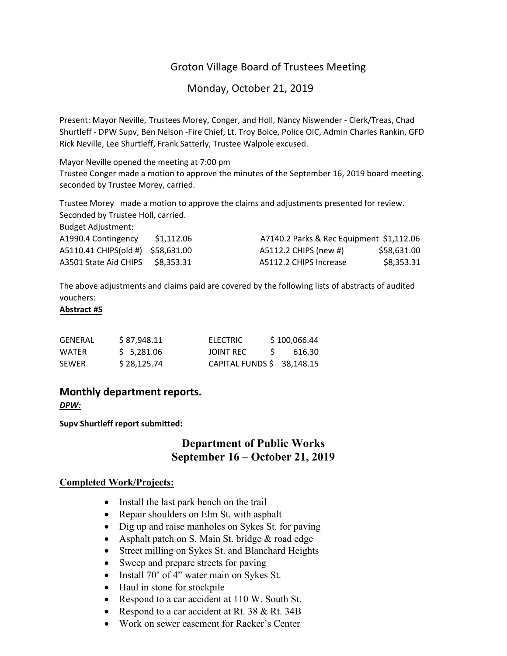# Groton Village Board of Trustees Meeting

Monday, October 21, 2019

Present: Mayor Neville, Trustees Morey, Conger, and Holl, Nancy Niswender ‐ Clerk/Treas, Chad Shurtleff ‐ DPW Supv, Ben Nelson ‐Fire Chief, Lt. Troy Boice, Police OIC, Admin Charles Rankin, GFD Rick Neville, Lee Shurtleff, Frank Satterly, Trustee Walpole excused.

Mayor Neville opened the meeting at 7:00 pm

Trustee Conger made a motion to approve the minutes of the September 16, 2019 board meeting. seconded by Trustee Morey, carried.

Trustee Morey made a motion to approve the claims and adjustments presented for review. Seconded by Trustee Holl, carried.

Budget Adjustment:

| A1990.4 Contingency               | S1.112.06 | A7140.2 Parks & Rec Equipment \$1,112.06 |
|-----------------------------------|-----------|------------------------------------------|
| A5110.41 CHIPS(old #) \$58,631.00 |           | A5112.2 CHIPS (new #)<br>\$58.631.00     |
| A3501 State Aid CHIPS             | S8.353.31 | \$8.353.31<br>A5112.2 CHIPS Increase     |

The above adjustments and claims paid are covered by the following lists of abstracts of audited vouchers:

### **Abstract #5**

| GENERAL      | \$87,948.11 | <b>ELECTRIC</b>            | \$100,066.44 |
|--------------|-------------|----------------------------|--------------|
| WATER        | 5.281.06    | <b>JOINT REC</b>           | 616.30       |
| <b>SEWER</b> | \$28.125.74 | CAPITAL FUNDS \$ 38,148.15 |              |

## **Monthly department reports.**

*DPW:*

**Supv Shurtleff report submitted:**

# **Department of Public Works September 16 – October 21, 2019**

### **Completed Work/Projects:**

- Install the last park bench on the trail
- Repair shoulders on Elm St. with asphalt
- Dig up and raise manholes on Sykes St. for paving
- Asphalt patch on S. Main St. bridge & road edge
- Street milling on Sykes St. and Blanchard Heights
- Sweep and prepare streets for paving
- Install 70' of 4" water main on Sykes St.
- Haul in stone for stockpile
- Respond to a car accident at 110 W. South St.
- Respond to a car accident at Rt. 38 & Rt. 34B
- Work on sewer easement for Racker's Center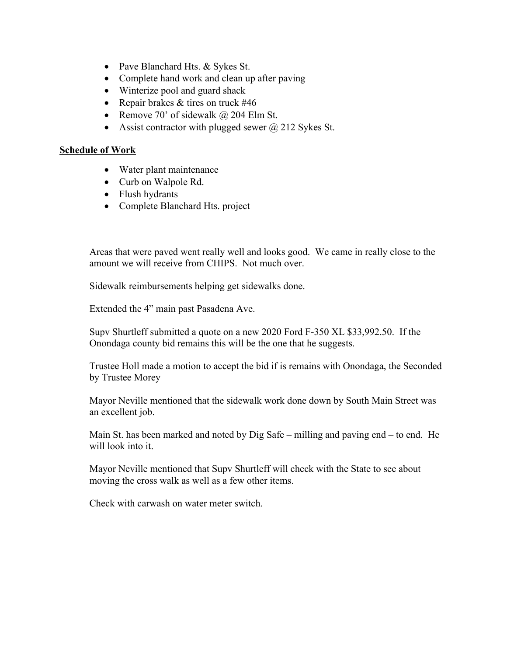- Pave Blanchard Hts. & Sykes St.
- Complete hand work and clean up after paving
- Winterize pool and guard shack
- Repair brakes  $&$  tires on truck #46
- Remove 70' of sidewalk  $\omega$  204 Elm St.
- Assist contractor with plugged sewer  $\omega$  212 Sykes St.

## **Schedule of Work**

- Water plant maintenance
- Curb on Walpole Rd.
- Flush hydrants
- Complete Blanchard Hts. project

Areas that were paved went really well and looks good. We came in really close to the amount we will receive from CHIPS. Not much over.

Sidewalk reimbursements helping get sidewalks done.

Extended the 4" main past Pasadena Ave.

Supv Shurtleff submitted a quote on a new 2020 Ford F-350 XL \$33,992.50. If the Onondaga county bid remains this will be the one that he suggests.

Trustee Holl made a motion to accept the bid if is remains with Onondaga, the Seconded by Trustee Morey

Mayor Neville mentioned that the sidewalk work done down by South Main Street was an excellent job.

Main St. has been marked and noted by Dig Safe – milling and paving end – to end. He will look into it.

Mayor Neville mentioned that Supv Shurtleff will check with the State to see about moving the cross walk as well as a few other items.

Check with carwash on water meter switch.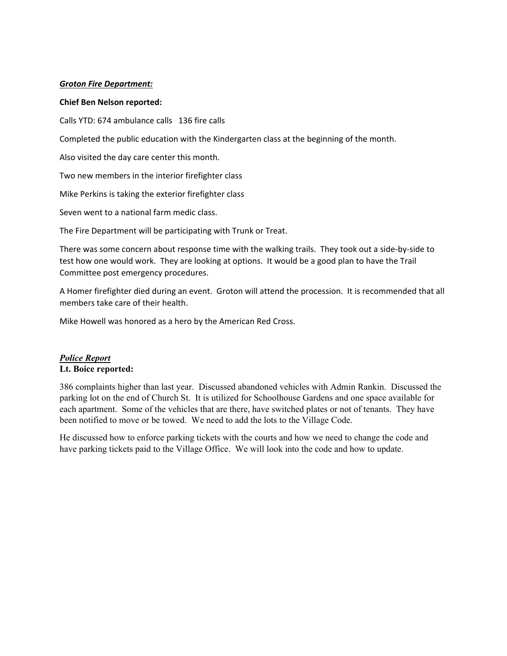### *Groton Fire Department:*

### **Chief Ben Nelson reported:**

Calls YTD: 674 ambulance calls 136 fire calls

Completed the public education with the Kindergarten class at the beginning of the month.

Also visited the day care center this month.

Two new members in the interior firefighter class

Mike Perkins is taking the exterior firefighter class

Seven went to a national farm medic class.

The Fire Department will be participating with Trunk or Treat.

There was some concern about response time with the walking trails. They took out a side‐by‐side to test how one would work. They are looking at options. It would be a good plan to have the Trail Committee post emergency procedures.

A Homer firefighter died during an event. Groton will attend the procession. It is recommended that all members take care of their health.

Mike Howell was honored as a hero by the American Red Cross.

### *Police Report* **Lt. Boice reported:**

386 complaints higher than last year. Discussed abandoned vehicles with Admin Rankin. Discussed the parking lot on the end of Church St. It is utilized for Schoolhouse Gardens and one space available for each apartment. Some of the vehicles that are there, have switched plates or not of tenants. They have been notified to move or be towed. We need to add the lots to the Village Code.

He discussed how to enforce parking tickets with the courts and how we need to change the code and have parking tickets paid to the Village Office. We will look into the code and how to update.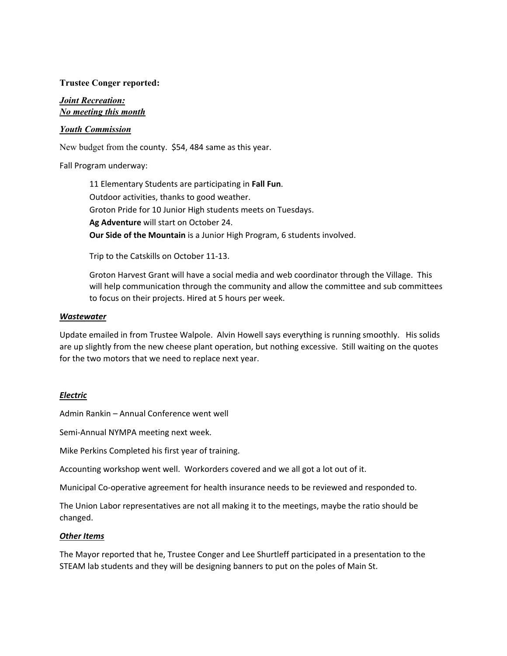### **Trustee Conger reported:**

### *Joint Recreation: No meeting this month*

### *Youth Commission*

New budget from the county. \$54, 484 same as this year.

### Fall Program underway:

11 Elementary Students are participating in **Fall Fun**. Outdoor activities, thanks to good weather. Groton Pride for 10 Junior High students meets on Tuesdays. **Ag Adventure** will start on October 24. **Our Side of the Mountain** is a Junior High Program, 6 students involved.

Trip to the Catskills on October 11‐13.

Groton Harvest Grant will have a social media and web coordinator through the Village. This will help communication through the community and allow the committee and sub committees to focus on their projects. Hired at 5 hours per week.

#### *Wastewater*

Update emailed in from Trustee Walpole. Alvin Howell says everything is running smoothly. His solids are up slightly from the new cheese plant operation, but nothing excessive. Still waiting on the quotes for the two motors that we need to replace next year.

#### *Electric*

Admin Rankin – Annual Conference went well

Semi‐Annual NYMPA meeting next week.

Mike Perkins Completed his first year of training.

Accounting workshop went well. Workorders covered and we all got a lot out of it.

Municipal Co‐operative agreement for health insurance needs to be reviewed and responded to.

The Union Labor representatives are not all making it to the meetings, maybe the ratio should be changed.

#### *Other Items*

The Mayor reported that he, Trustee Conger and Lee Shurtleff participated in a presentation to the STEAM lab students and they will be designing banners to put on the poles of Main St.